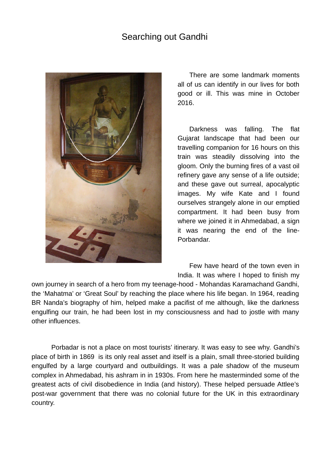## Searching out Gandhi



There are some landmark moments all of us can identify in our lives for both good or ill. This was mine in October 2016.

Darkness was falling. The flat Gujarat landscape that had been our travelling companion for 16 hours on this train was steadily dissolving into the gloom. Only the burning fires of a vast oil refinery gave any sense of a life outside; and these gave out surreal, apocalyptic images. My wife Kate and I found ourselves strangely alone in our emptied compartment. It had been busy from where we joined it in Ahmedabad, a sign it was nearing the end of the line-Porbandar.

Few have heard of the town even in India. It was where I hoped to finish my

own journey in search of a hero from my teenage-hood - Mohandas Karamachand Gandhi, the 'Mahatma' or 'Great Soul' by reaching the place where his life began. In 1964, reading BR Nanda's biography of him, helped make a pacifist of me although, like the darkness engulfing our train, he had been lost in my consciousness and had to jostle with many other influences.

Porbadar is not a place on most tourists' itinerary. It was easy to see why. Gandhi's place of birth in 1869 is its only real asset and itself is a plain, small three-storied building engulfed by a large courtyard and outbuildings. It was a pale shadow of the museum complex in Ahmedabad, his ashram in in 1930s. From here he masterminded some of the greatest acts of civil disobedience in India (and history). These helped persuade Attlee's post-war government that there was no colonial future for the UK in this extraordinary country.